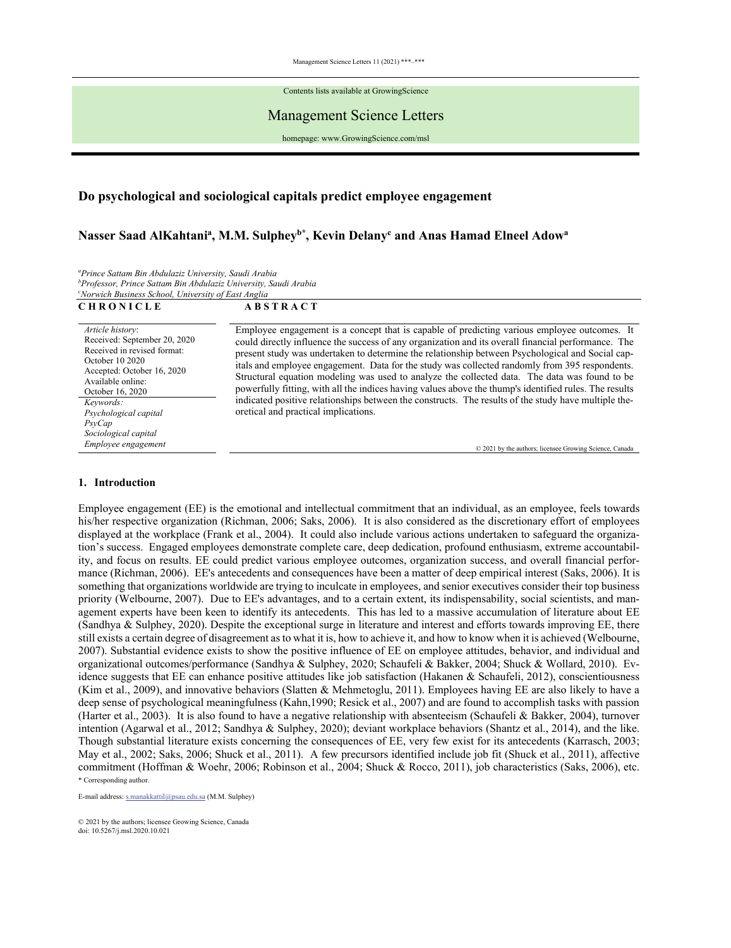Contents lists available at GrowingScience

# Management Science Letters

homepage: www.GrowingScience.com/msl

# **Do psychological and sociological capitals predict employee engagement**

# Nasser Saad AlKahtani<sup>a</sup>, M.M. Sulphey<sup>b\*</sup>, Kevin Delany<sup>c</sup> and Anas Hamad Elneel Adow<sup>a</sup>

*a Prince Sattam Bin Abdulaziz University, Saudi Arabia b Professor, Prince Sattam Bin Abdulaziz University, Saudi Arabia c Norwich Business School, University of East Anglia* 

| <b>CHRONICLE</b>                                                                                                                                                          | <b>ABSTRACT</b>                                                                                                                                                                                                                                                                                                                                                                                                                                                                                                                                                                                                      |
|---------------------------------------------------------------------------------------------------------------------------------------------------------------------------|----------------------------------------------------------------------------------------------------------------------------------------------------------------------------------------------------------------------------------------------------------------------------------------------------------------------------------------------------------------------------------------------------------------------------------------------------------------------------------------------------------------------------------------------------------------------------------------------------------------------|
| Article history:<br>Received: September 20, 2020<br>Received in revised format:<br>October 10 2020<br>Accepted: October 16, 2020<br>Available online:<br>October 16, 2020 | Employee engagement is a concept that is capable of predicting various employee outcomes. It<br>could directly influence the success of any organization and its overall financial performance. The<br>present study was undertaken to determine the relationship between Psychological and Social cap-<br>itals and employee engagement. Data for the study was collected randomly from 395 respondents.<br>Structural equation modeling was used to analyze the collected data. The data was found to be<br>powerfully fitting, with all the indices having values above the thump's identified rules. The results |
| Keywords:<br>Psychological capital<br>P <sub>SV</sub> Cap<br>Sociological capital<br>Employee engagement                                                                  | indicated positive relationships between the constructs. The results of the study have multiple the-<br>oretical and practical implications.<br>© 2021 by the authors; licensee Growing Science, Canada                                                                                                                                                                                                                                                                                                                                                                                                              |

# **1. Introduction**

\* Corresponding author. Employee engagement (EE) is the emotional and intellectual commitment that an individual, as an employee, feels towards his/her respective organization (Richman, 2006; Saks, 2006). It is also considered as the discretionary effort of employees displayed at the workplace (Frank et al., 2004). It could also include various actions undertaken to safeguard the organization's success. Engaged employees demonstrate complete care, deep dedication, profound enthusiasm, extreme accountability, and focus on results. EE could predict various employee outcomes, organization success, and overall financial performance (Richman, 2006). EE's antecedents and consequences have been a matter of deep empirical interest (Saks, 2006). It is something that organizations worldwide are trying to inculcate in employees, and senior executives consider their top business priority (Welbourne, 2007). Due to EE's advantages, and to a certain extent, its indispensability, social scientists, and management experts have been keen to identify its antecedents. This has led to a massive accumulation of literature about EE (Sandhya & Sulphey, 2020). Despite the exceptional surge in literature and interest and efforts towards improving EE, there still exists a certain degree of disagreement as to what it is, how to achieve it, and how to know when it is achieved (Welbourne, 2007). Substantial evidence exists to show the positive influence of EE on employee attitudes, behavior, and individual and organizational outcomes/performance (Sandhya & Sulphey, 2020; Schaufeli & Bakker, 2004; Shuck & Wollard, 2010). Evidence suggests that EE can enhance positive attitudes like job satisfaction (Hakanen & Schaufeli, 2012), conscientiousness (Kim et al., 2009), and innovative behaviors (Slatten & Mehmetoglu, 2011). Employees having EE are also likely to have a deep sense of psychological meaningfulness (Kahn,1990; Resick et al., 2007) and are found to accomplish tasks with passion (Harter et al., 2003). It is also found to have a negative relationship with absenteeism (Schaufeli & Bakker, 2004), turnover intention (Agarwal et al., 2012; Sandhya & Sulphey, 2020); deviant workplace behaviors (Shantz et al., 2014), and the like. Though substantial literature exists concerning the consequences of EE, very few exist for its antecedents (Karrasch, 2003; May et al., 2002; Saks, 2006; Shuck et al., 2011). A few precursors identified include job fit (Shuck et al., 2011), affective commitment (Hoffman & Woehr, 2006; Robinson et al., 2004; Shuck & Rocco, 2011), job characteristics (Saks, 2006), etc.

E-mail address: s.manakkattil@psau.edu.sa (M.M. Sulphey)

<sup>© 2021</sup> by the authors; licensee Growing Science, Canada doi: 10.5267/j.msl.2020.10.021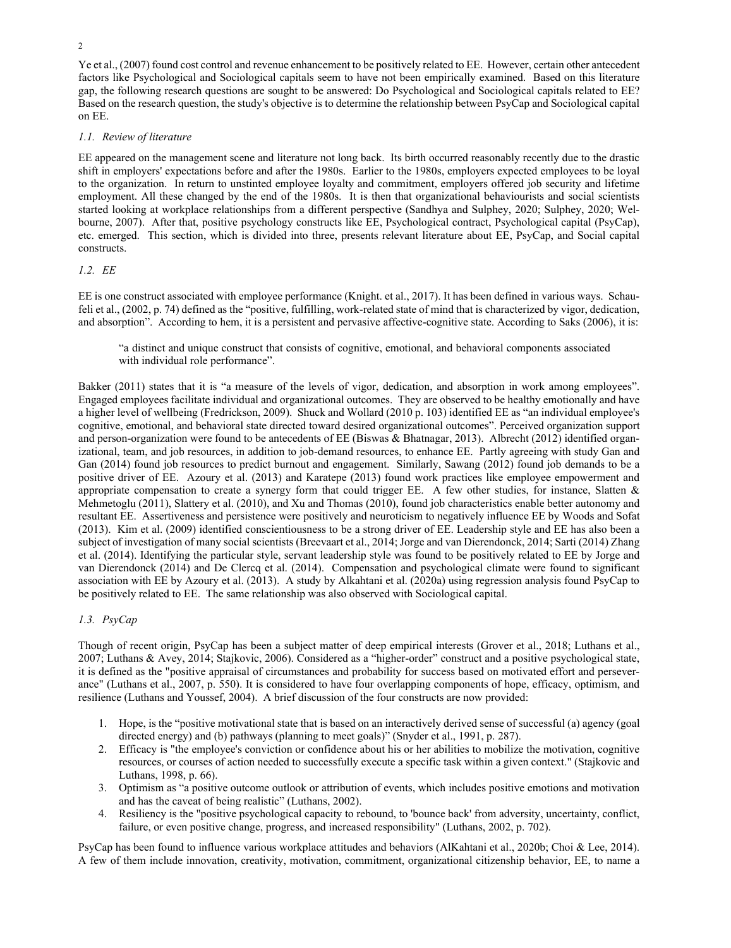Ye et al., (2007) found cost control and revenue enhancement to be positively related to EE. However, certain other antecedent factors like Psychological and Sociological capitals seem to have not been empirically examined. Based on this literature gap, the following research questions are sought to be answered: Do Psychological and Sociological capitals related to EE? Based on the research question, the study's objective is to determine the relationship between PsyCap and Sociological capital on EE.

# *1.1. Review of literature*

EE appeared on the management scene and literature not long back. Its birth occurred reasonably recently due to the drastic shift in employers' expectations before and after the 1980s. Earlier to the 1980s, employers expected employees to be loyal to the organization. In return to unstinted employee loyalty and commitment, employers offered job security and lifetime employment. All these changed by the end of the 1980s. It is then that organizational behaviourists and social scientists started looking at workplace relationships from a different perspective (Sandhya and Sulphey, 2020; Sulphey, 2020; Welbourne, 2007). After that, positive psychology constructs like EE, Psychological contract, Psychological capital (PsyCap), etc. emerged. This section, which is divided into three, presents relevant literature about EE, PsyCap, and Social capital constructs.

# *1.2. EE*

EE is one construct associated with employee performance (Knight. et al., 2017). It has been defined in various ways. Schaufeli et al., (2002, p. 74) defined as the "positive, fulfilling, work-related state of mind that is characterized by vigor, dedication, and absorption". According to hem, it is a persistent and pervasive affective-cognitive state. According to Saks (2006), it is:

"a distinct and unique construct that consists of cognitive, emotional, and behavioral components associated with individual role performance".

Bakker (2011) states that it is "a measure of the levels of vigor, dedication, and absorption in work among employees". Engaged employees facilitate individual and organizational outcomes. They are observed to be healthy emotionally and have a higher level of wellbeing (Fredrickson, 2009). Shuck and Wollard (2010 p. 103) identified EE as "an individual employee's cognitive, emotional, and behavioral state directed toward desired organizational outcomes". Perceived organization support and person-organization were found to be antecedents of EE (Biswas & Bhatnagar, 2013). Albrecht (2012) identified organizational, team, and job resources, in addition to job-demand resources, to enhance EE. Partly agreeing with study Gan and Gan (2014) found job resources to predict burnout and engagement. Similarly, Sawang (2012) found job demands to be a positive driver of EE. Azoury et al. (2013) and Karatepe (2013) found work practices like employee empowerment and appropriate compensation to create a synergy form that could trigger EE. A few other studies, for instance, Slatten  $\&$ Mehmetoglu (2011), Slattery et al. (2010), and Xu and Thomas (2010), found job characteristics enable better autonomy and resultant EE. Assertiveness and persistence were positively and neuroticism to negatively influence EE by Woods and Sofat (2013). Kim et al. (2009) identified conscientiousness to be a strong driver of EE. Leadership style and EE has also been a subject of investigation of many social scientists (Breevaart et al., 2014; Jorge and van Dierendonck, 2014; Sarti (2014) Zhang et al. (2014). Identifying the particular style, servant leadership style was found to be positively related to EE by Jorge and van Dierendonck (2014) and De Clercq et al. (2014). Compensation and psychological climate were found to significant association with EE by Azoury et al. (2013). A study by Alkahtani et al. (2020a) using regression analysis found PsyCap to be positively related to EE. The same relationship was also observed with Sociological capital.

# *1.3. PsyCap*

Though of recent origin, PsyCap has been a subject matter of deep empirical interests (Grover et al., 2018; Luthans et al., 2007; Luthans & Avey, 2014; Stajkovic, 2006). Considered as a "higher-order" construct and a positive psychological state, it is defined as the "positive appraisal of circumstances and probability for success based on motivated effort and perseverance" (Luthans et al., 2007, p. 550). It is considered to have four overlapping components of hope, efficacy, optimism, and resilience (Luthans and Youssef, 2004). A brief discussion of the four constructs are now provided:

- 1. Hope, is the "positive motivational state that is based on an interactively derived sense of successful (a) agency (goal directed energy) and (b) pathways (planning to meet goals)" (Snyder et al., 1991, p. 287).
- 2. Efficacy is "the employee's conviction or confidence about his or her abilities to mobilize the motivation, cognitive resources, or courses of action needed to successfully execute a specific task within a given context." (Stajkovic and Luthans, 1998, p. 66).
- 3. Optimism as "a positive outcome outlook or attribution of events, which includes positive emotions and motivation and has the caveat of being realistic" (Luthans, 2002).
- 4. Resiliency is the "positive psychological capacity to rebound, to 'bounce back' from adversity, uncertainty, conflict, failure, or even positive change, progress, and increased responsibility" (Luthans, 2002, p. 702).

PsyCap has been found to influence various workplace attitudes and behaviors (AlKahtani et al., 2020b; Choi & Lee, 2014). A few of them include innovation, creativity, motivation, commitment, organizational citizenship behavior, EE, to name a

2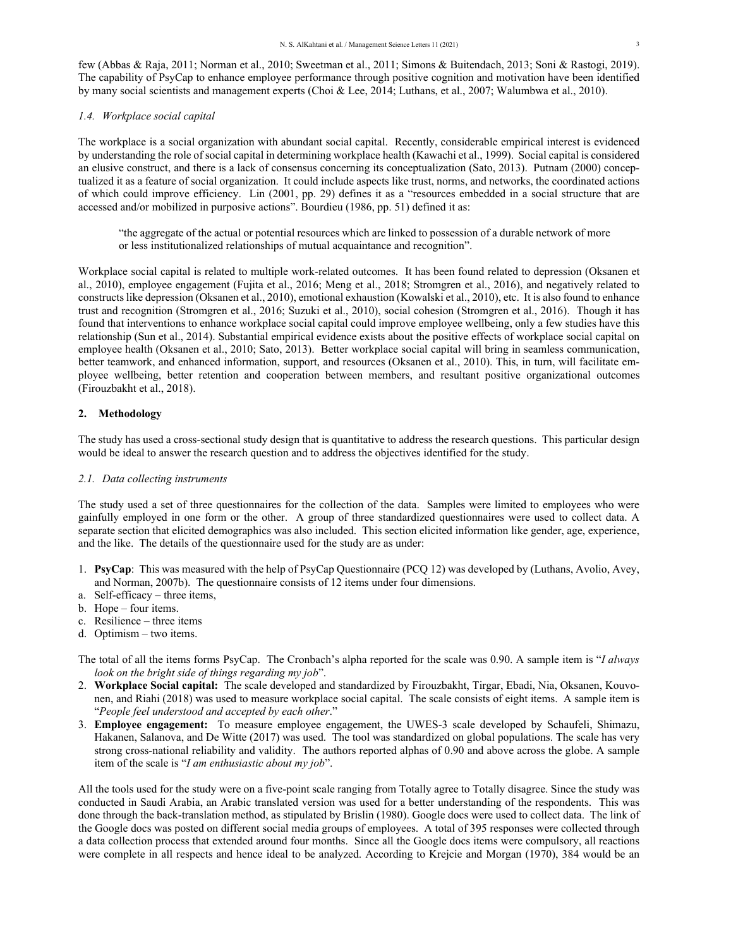few (Abbas & Raja, 2011; Norman et al., 2010; Sweetman et al., 2011; Simons & Buitendach, 2013; Soni & Rastogi, 2019). The capability of PsyCap to enhance employee performance through positive cognition and motivation have been identified by many social scientists and management experts (Choi & Lee, 2014; Luthans, et al., 2007; Walumbwa et al., 2010).

# *1.4. Workplace social capital*

The workplace is a social organization with abundant social capital. Recently, considerable empirical interest is evidenced by understanding the role of social capital in determining workplace health (Kawachi et al., 1999). Social capital is considered an elusive construct, and there is a lack of consensus concerning its conceptualization (Sato, 2013). Putnam (2000) conceptualized it as a feature of social organization. It could include aspects like trust, norms, and networks, the coordinated actions of which could improve efficiency. Lin (2001, pp. 29) defines it as a "resources embedded in a social structure that are accessed and/or mobilized in purposive actions". Bourdieu (1986, pp. 51) defined it as:

"the aggregate of the actual or potential resources which are linked to possession of a durable network of more or less institutionalized relationships of mutual acquaintance and recognition".

Workplace social capital is related to multiple work-related outcomes. It has been found related to depression (Oksanen et al., 2010), employee engagement (Fujita et al., 2016; Meng et al., 2018; Stromgren et al., 2016), and negatively related to constructs like depression (Oksanen et al., 2010), emotional exhaustion (Kowalski et al., 2010), etc. It is also found to enhance trust and recognition (Stromgren et al., 2016; Suzuki et al., 2010), social cohesion (Stromgren et al., 2016). Though it has found that interventions to enhance workplace social capital could improve employee wellbeing, only a few studies have this relationship (Sun et al., 2014). Substantial empirical evidence exists about the positive effects of workplace social capital on employee health (Oksanen et al., 2010; Sato, 2013). Better workplace social capital will bring in seamless communication, better teamwork, and enhanced information, support, and resources (Oksanen et al., 2010). This, in turn, will facilitate employee wellbeing, better retention and cooperation between members, and resultant positive organizational outcomes (Firouzbakht et al., 2018).

# **2. Methodology**

The study has used a cross-sectional study design that is quantitative to address the research questions. This particular design would be ideal to answer the research question and to address the objectives identified for the study.

# *2.1. Data collecting instruments*

The study used a set of three questionnaires for the collection of the data. Samples were limited to employees who were gainfully employed in one form or the other. A group of three standardized questionnaires were used to collect data. A separate section that elicited demographics was also included. This section elicited information like gender, age, experience, and the like. The details of the questionnaire used for the study are as under:

- 1. **PsyCap**: This was measured with the help of PsyCap Questionnaire (PCQ 12) was developed by (Luthans, Avolio, Avey, and Norman, 2007b). The questionnaire consists of 12 items under four dimensions.
- a. Self-efficacy three items,
- b. Hope four items.
- c. Resilience three items
- d. Optimism two items.

The total of all the items forms PsyCap. The Cronbach's alpha reported for the scale was 0.90. A sample item is "*I always look on the bright side of things regarding my job*".

- 2. **Workplace Social capital:** The scale developed and standardized by Firouzbakht, Tirgar, Ebadi, Nia, Oksanen, Kouvonen, and Riahi (2018) was used to measure workplace social capital. The scale consists of eight items. A sample item is "*People feel understood and accepted by each other*."
- 3. **Employee engagement:** To measure employee engagement, the UWES-3 scale developed by Schaufeli, Shimazu, Hakanen, Salanova, and De Witte (2017) was used. The tool was standardized on global populations. The scale has very strong cross-national reliability and validity. The authors reported alphas of 0.90 and above across the globe. A sample item of the scale is "*I am enthusiastic about my job*".

All the tools used for the study were on a five-point scale ranging from Totally agree to Totally disagree. Since the study was conducted in Saudi Arabia, an Arabic translated version was used for a better understanding of the respondents. This was done through the back-translation method, as stipulated by Brislin (1980). Google docs were used to collect data. The link of the Google docs was posted on different social media groups of employees. A total of 395 responses were collected through a data collection process that extended around four months. Since all the Google docs items were compulsory, all reactions were complete in all respects and hence ideal to be analyzed. According to Krejcie and Morgan (1970), 384 would be an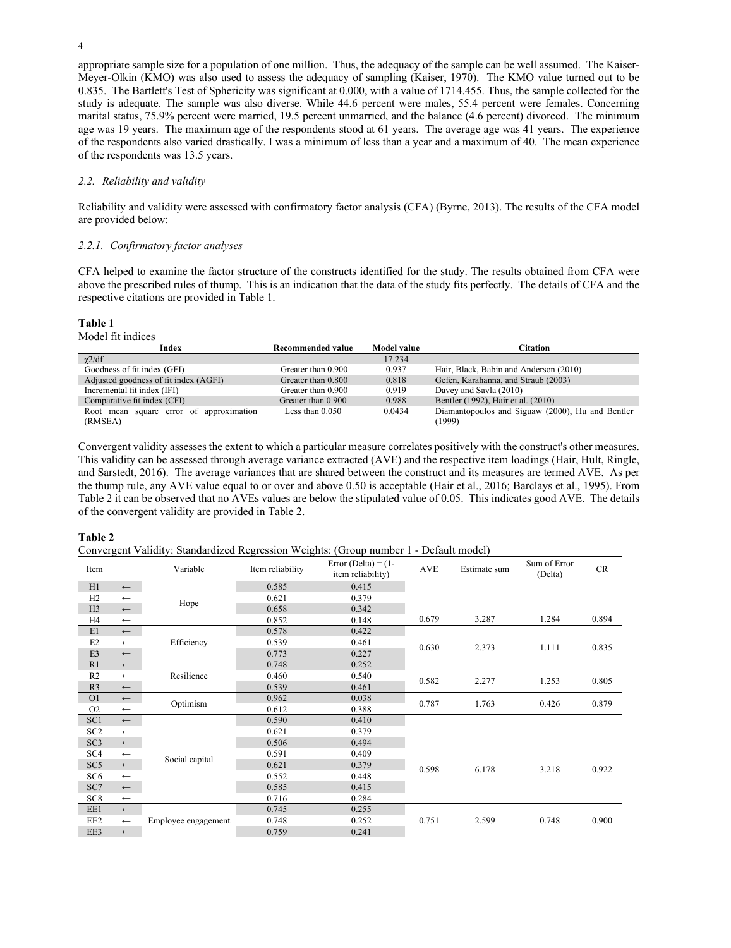appropriate sample size for a population of one million. Thus, the adequacy of the sample can be well assumed. The Kaiser-Meyer-Olkin (KMO) was also used to assess the adequacy of sampling (Kaiser, 1970). The KMO value turned out to be 0.835. The Bartlett's Test of Sphericity was significant at 0.000, with a value of 1714.455. Thus, the sample collected for the study is adequate. The sample was also diverse. While 44.6 percent were males, 55.4 percent were females. Concerning marital status, 75.9% percent were married, 19.5 percent unmarried, and the balance (4.6 percent) divorced. The minimum age was 19 years. The maximum age of the respondents stood at 61 years. The average age was 41 years. The experience of the respondents also varied drastically. I was a minimum of less than a year and a maximum of 40. The mean experience of the respondents was 13.5 years.

# *2.2. Reliability and validity*

Reliability and validity were assessed with confirmatory factor analysis (CFA) (Byrne, 2013). The results of the CFA model are provided below:

### *2.2.1. Confirmatory factor analyses*

CFA helped to examine the factor structure of the constructs identified for the study. The results obtained from CFA were above the prescribed rules of thump. This is an indication that the data of the study fits perfectly. The details of CFA and the respective citations are provided in Table 1.

# **Table 1**

Model fit indices

| Index                                   | Recommended value  | <b>Model value</b> | Citation                                         |
|-----------------------------------------|--------------------|--------------------|--------------------------------------------------|
| $\chi$ 2/df                             |                    | 17.234             |                                                  |
| Goodness of fit index (GFI)             | Greater than 0.900 | 0.937              | Hair, Black, Babin and Anderson (2010)           |
| Adjusted goodness of fit index (AGFI)   | Greater than 0.800 | 0.818              | Gefen, Karahanna, and Straub (2003)              |
| Incremental fit index (IFI)             | Greater than 0.900 | 0.919              | Davey and Savla (2010)                           |
| Comparative fit index (CFI)             | Greater than 0.900 | 0.988              | Bentler (1992), Hair et al. (2010)               |
| Root mean square error of approximation | Less than $0.050$  | 0.0434             | Diamantopoulos and Siguaw (2000), Hu and Bentler |
| (RMSEA)                                 |                    |                    | (1999)                                           |

Convergent validity assesses the extent to which a particular measure correlates positively with the construct's other measures. This validity can be assessed through average variance extracted (AVE) and the respective item loadings (Hair, Hult, Ringle, and Sarstedt, 2016). The average variances that are shared between the construct and its measures are termed AVE. As per the thump rule, any AVE value equal to or over and above 0.50 is acceptable (Hair et al., 2016; Barclays et al., 1995). From Table 2 it can be observed that no AVEs values are below the stipulated value of 0.05. This indicates good AVE. The details of the convergent validity are provided in Table 2.

# **Table 2**

Convergent Validity: Standardized Regression Weights: (Group number 1 - Default model)

| Item            |                  | Variable            | Item reliability | Error (Delta) = $(1 -$<br>item reliability) | AVE   | Estimate sum | Sum of Error<br>(Delta) | CR    |
|-----------------|------------------|---------------------|------------------|---------------------------------------------|-------|--------------|-------------------------|-------|
| H1              | $\longleftarrow$ |                     | 0.585            | 0.415                                       |       |              |                         |       |
| H2              | $\longleftarrow$ |                     | 0.621            | 0.379                                       |       |              |                         |       |
| H <sub>3</sub>  | $\longleftarrow$ | Hope                | 0.658            | 0.342                                       |       |              |                         |       |
| H4              | $\longleftarrow$ |                     | 0.852            | 0.148                                       | 0.679 | 3.287        | 1.284                   | 0.894 |
| E1              | $\longleftarrow$ |                     | 0.578            | 0.422                                       |       |              |                         |       |
| E <sub>2</sub>  | $\longleftarrow$ | Efficiency          | 0.539            | 0.461                                       |       | 2.373        | 1.111                   | 0.835 |
| E <sub>3</sub>  | $\longleftarrow$ |                     | 0.773            | 0.227                                       | 0.630 |              |                         |       |
| R1              | $\longleftarrow$ |                     | 0.748            | 0.252                                       |       |              |                         |       |
| R <sub>2</sub>  | $\leftarrow$     | Resilience          | 0.460            | 0.540                                       | 0.582 | 2.277        | 1.253                   | 0.805 |
| R <sub>3</sub>  | $\longleftarrow$ |                     | 0.539            | 0.461                                       |       |              |                         |       |
| O <sub>1</sub>  | $\longleftarrow$ | Optimism            | 0.962            | 0.038                                       | 0.787 | 1.763        | 0.426                   | 0.879 |
| O <sub>2</sub>  | $\longleftarrow$ |                     | 0.612            | 0.388                                       |       |              |                         |       |
| SC1             | $\longleftarrow$ |                     | 0.590            | 0.410                                       |       |              |                         |       |
| SC <sub>2</sub> | $\longleftarrow$ |                     | 0.621            | 0.379                                       |       |              |                         |       |
| SC <sub>3</sub> | $\longleftarrow$ |                     | 0.506            | 0.494                                       |       | 6.178        | 3.218                   | 0.922 |
| SC <sub>4</sub> | $\longleftarrow$ | Social capital      | 0.591            | 0.409                                       |       |              |                         |       |
| SC <sub>5</sub> | $\longleftarrow$ |                     | 0.621            | 0.379                                       | 0.598 |              |                         |       |
| SC <sub>6</sub> | $\longleftarrow$ |                     | 0.552            | 0.448                                       |       |              |                         |       |
| SC7             | $\longleftarrow$ |                     | 0.585            | 0.415                                       |       |              |                         |       |
| SC <sub>8</sub> | $\longleftarrow$ |                     | 0.716            | 0.284                                       |       |              |                         |       |
| EE1             | $\longleftarrow$ |                     | 0.745            | 0.255                                       |       |              |                         |       |
| EE <sub>2</sub> | $\longleftarrow$ | Employee engagement | 0.748            | 0.252                                       | 0.751 | 2.599        | 0.748                   | 0.900 |
| EE3             | $\longleftarrow$ |                     | 0.759            | 0.241                                       |       |              |                         |       |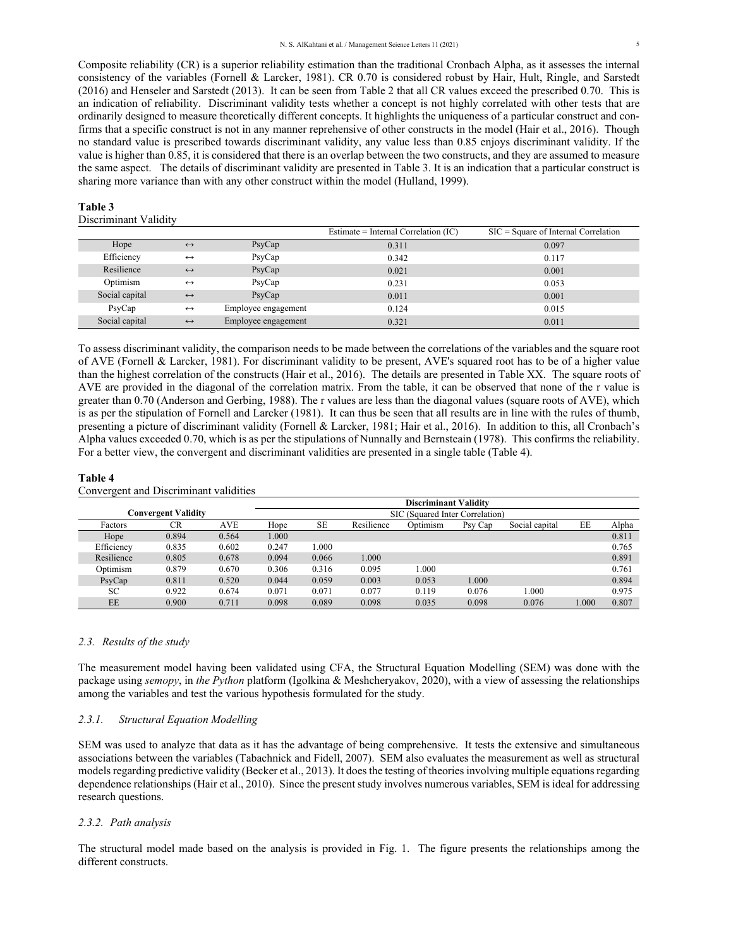Composite reliability (CR) is a superior reliability estimation than the traditional Cronbach Alpha, as it assesses the internal consistency of the variables (Fornell & Larcker, 1981). CR 0.70 is considered robust by Hair, Hult, Ringle, and Sarstedt (2016) and Henseler and Sarstedt (2013). It can be seen from Table 2 that all CR values exceed the prescribed 0.70. This is an indication of reliability. Discriminant validity tests whether a concept is not highly correlated with other tests that are ordinarily designed to measure theoretically different concepts. It highlights the uniqueness of a particular construct and confirms that a specific construct is not in any manner reprehensive of other constructs in the model (Hair et al., 2016). Though no standard value is prescribed towards discriminant validity, any value less than 0.85 enjoys discriminant validity. If the value is higher than 0.85, it is considered that there is an overlap between the two constructs, and they are assumed to measure the same aspect. The details of discriminant validity are presented in Table 3. It is an indication that a particular construct is sharing more variance than with any other construct within the model (Hulland, 1999).

#### **Table 3**

#### Discriminant Validity

|                |                   |                     | Estimate = Internal Correlation $(IC)$ | $SIC = Square of Internal Correlation$ |
|----------------|-------------------|---------------------|----------------------------------------|----------------------------------------|
| Hope           | $\leftrightarrow$ | P <sub>syCap</sub>  | 0.311                                  | 0.097                                  |
| Efficiency     | $\leftrightarrow$ | PsyCap              | 0.342                                  | 0.117                                  |
| Resilience     | $\leftrightarrow$ | PsyCap              | 0.021                                  | 0.001                                  |
| Optimism       | $\leftrightarrow$ | PsyCap              | 0.231                                  | 0.053                                  |
| Social capital | $\leftrightarrow$ | PsyCap              | 0.011                                  | 0.001                                  |
| PsyCap         | $\leftrightarrow$ | Employee engagement | 0.124                                  | 0.015                                  |
| Social capital | $\leftrightarrow$ | Employee engagement | 0.321                                  | 0.011                                  |

To assess discriminant validity, the comparison needs to be made between the correlations of the variables and the square root of AVE (Fornell & Larcker, 1981). For discriminant validity to be present, AVE's squared root has to be of a higher value than the highest correlation of the constructs (Hair et al., 2016). The details are presented in Table XX. The square roots of AVE are provided in the diagonal of the correlation matrix. From the table, it can be observed that none of the r value is greater than 0.70 (Anderson and Gerbing, 1988). The r values are less than the diagonal values (square roots of AVE), which is as per the stipulation of Fornell and Larcker (1981). It can thus be seen that all results are in line with the rules of thumb, presenting a picture of discriminant validity (Fornell & Larcker, 1981; Hair et al., 2016). In addition to this, all Cronbach's Alpha values exceeded 0.70, which is as per the stipulations of Nunnally and Bernsteain (1978). This confirms the reliability. For a better view, the convergent and discriminant validities are presented in a single table (Table 4).

#### **Table 4**

|                            |       |            |                                 |           |            | <b>Discriminant Validity</b> |         |                |      |       |
|----------------------------|-------|------------|---------------------------------|-----------|------------|------------------------------|---------|----------------|------|-------|
| <b>Convergent Validity</b> |       |            | SIC (Squared Inter Correlation) |           |            |                              |         |                |      |       |
| Factors                    | CR    | <b>AVE</b> | Hope                            | <b>SE</b> | Resilience | Optimism                     | Psy Cap | Social capital | EE   | Alpha |
| Hope                       | 0.894 | 0.564      | 1.000                           |           |            |                              |         |                |      | 0.811 |
| Efficiency                 | 0.835 | 0.602      | 0.247                           | 1.000     |            |                              |         |                |      | 0.765 |
| Resilience                 | 0.805 | 0.678      | 0.094                           | 0.066     | 1.000      |                              |         |                |      | 0.891 |
| Optimism                   | 0.879 | 0.670      | 0.306                           | 0.316     | 0.095      | 1.000                        |         |                |      | 0.761 |
| PsyCap                     | 0.811 | 0.520      | 0.044                           | 0.059     | 0.003      | 0.053                        | 1.000   |                |      | 0.894 |
| SС                         | 0.922 | 0.674      | 0.071                           | 0.071     | 0.077      | 0.119                        | 0.076   | 1.000          |      | 0.975 |
| EE                         | 0.900 | 0.711      | 0.098                           | 0.089     | 0.098      | 0.035                        | 0.098   | 0.076          | .000 | 0.807 |

#### Convergent and Discriminant validities

#### *2.3. Results of the study*

The measurement model having been validated using CFA, the Structural Equation Modelling (SEM) was done with the package using *semopy*, in *the Python* platform (Igolkina & Meshcheryakov, 2020), with a view of assessing the relationships among the variables and test the various hypothesis formulated for the study.

#### *2.3.1. Structural Equation Modelling*

SEM was used to analyze that data as it has the advantage of being comprehensive. It tests the extensive and simultaneous associations between the variables (Tabachnick and Fidell, 2007). SEM also evaluates the measurement as well as structural models regarding predictive validity (Becker et al., 2013). It does the testing of theories involving multiple equations regarding dependence relationships (Hair et al., 2010). Since the present study involves numerous variables, SEM is ideal for addressing research questions.

# *2.3.2. Path analysis*

The structural model made based on the analysis is provided in Fig. 1. The figure presents the relationships among the different constructs.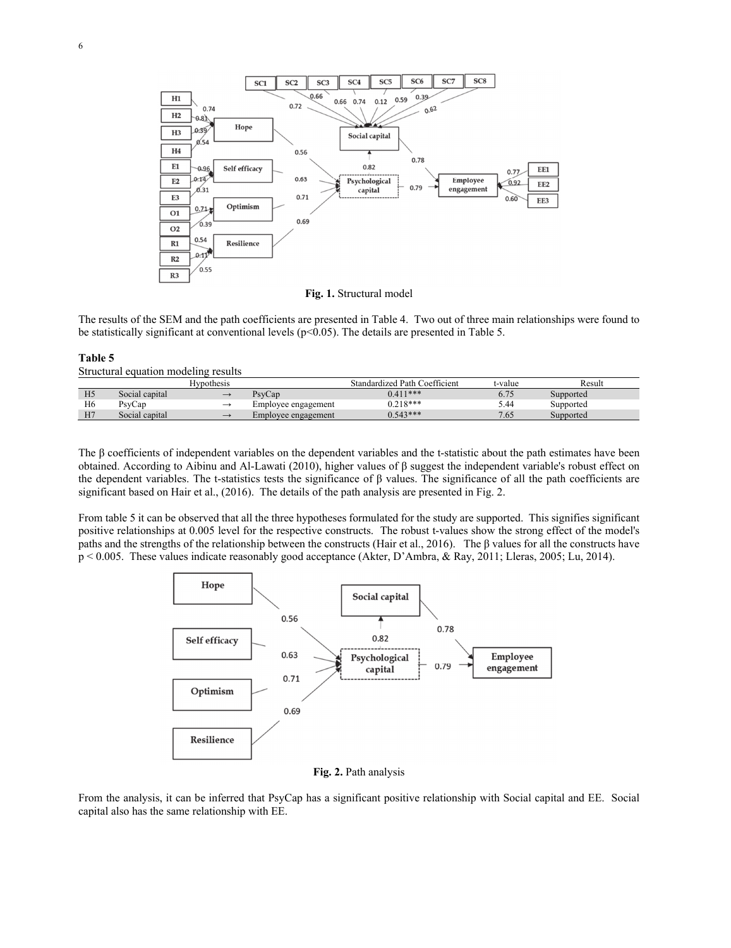

**Fig. 1.** Structural model

The results of the SEM and the path coefficients are presented in Table 4. Two out of three main relationships were found to be statistically significant at conventional levels ( $p<0.05$ ). The details are presented in Table 5.

### **Table 5**

Structural equation modeling results

|                |                | Hvpothesis    |                     | Standardized Path Coefficient | t-value                | Result    |
|----------------|----------------|---------------|---------------------|-------------------------------|------------------------|-----------|
| H <sub>5</sub> | Social capital |               | PsvCap              | $0.411***$                    | $\overline{ }$<br>0.73 | Supported |
| H <sub>6</sub> | PsyCap         |               | Employee engagement | $0.218***$                    | 5.44                   | Supported |
| H7             | Social capital | $\rightarrow$ | Emplovee engagement | $0.543***$                    | 7.65                   | Supported |

The β coefficients of independent variables on the dependent variables and the t-statistic about the path estimates have been obtained. According to Aibinu and Al-Lawati (2010), higher values of β suggest the independent variable's robust effect on the dependent variables. The t-statistics tests the significance of β values. The significance of all the path coefficients are significant based on Hair et al., (2016). The details of the path analysis are presented in Fig. 2.

From table 5 it can be observed that all the three hypotheses formulated for the study are supported. This signifies significant positive relationships at 0.005 level for the respective constructs. The robust t-values show the strong effect of the model's paths and the strengths of the relationship between the constructs (Hair et al., 2016). The β values for all the constructs have p < 0.005. These values indicate reasonably good acceptance (Akter, D'Ambra, & Ray, 2011; Lleras, 2005; Lu, 2014).



**Fig. 2.** Path analysis

From the analysis, it can be inferred that PsyCap has a significant positive relationship with Social capital and EE. Social capital also has the same relationship with EE.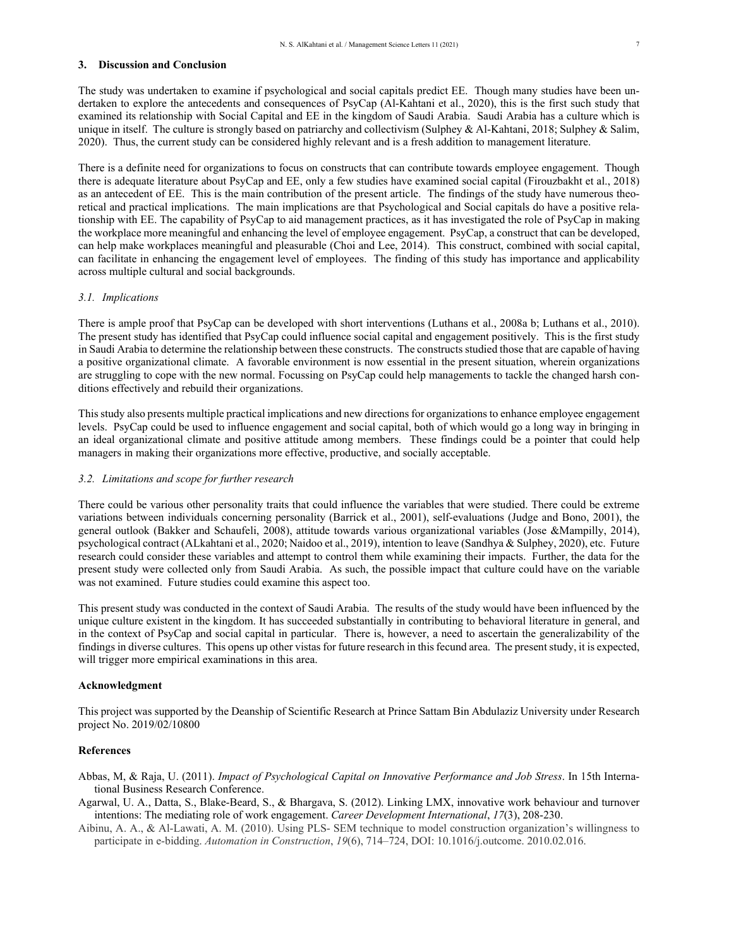## **3. Discussion and Conclusion**

The study was undertaken to examine if psychological and social capitals predict EE. Though many studies have been undertaken to explore the antecedents and consequences of PsyCap (Al-Kahtani et al., 2020), this is the first such study that examined its relationship with Social Capital and EE in the kingdom of Saudi Arabia. Saudi Arabia has a culture which is unique in itself. The culture is strongly based on patriarchy and collectivism (Sulphey & Al-Kahtani, 2018; Sulphey & Salim, 2020). Thus, the current study can be considered highly relevant and is a fresh addition to management literature.

There is a definite need for organizations to focus on constructs that can contribute towards employee engagement. Though there is adequate literature about PsyCap and EE, only a few studies have examined social capital (Firouzbakht et al., 2018) as an antecedent of EE. This is the main contribution of the present article. The findings of the study have numerous theoretical and practical implications. The main implications are that Psychological and Social capitals do have a positive relationship with EE. The capability of PsyCap to aid management practices, as it has investigated the role of PsyCap in making the workplace more meaningful and enhancing the level of employee engagement. PsyCap, a construct that can be developed, can help make workplaces meaningful and pleasurable (Choi and Lee, 2014). This construct, combined with social capital, can facilitate in enhancing the engagement level of employees. The finding of this study has importance and applicability across multiple cultural and social backgrounds.

### *3.1. Implications*

There is ample proof that PsyCap can be developed with short interventions (Luthans et al., 2008a b; Luthans et al., 2010). The present study has identified that PsyCap could influence social capital and engagement positively. This is the first study in Saudi Arabia to determine the relationship between these constructs. The constructs studied those that are capable of having a positive organizational climate. A favorable environment is now essential in the present situation, wherein organizations are struggling to cope with the new normal. Focussing on PsyCap could help managements to tackle the changed harsh conditions effectively and rebuild their organizations.

This study also presents multiple practical implications and new directions for organizations to enhance employee engagement levels. PsyCap could be used to influence engagement and social capital, both of which would go a long way in bringing in an ideal organizational climate and positive attitude among members. These findings could be a pointer that could help managers in making their organizations more effective, productive, and socially acceptable.

#### *3.2. Limitations and scope for further research*

There could be various other personality traits that could influence the variables that were studied. There could be extreme variations between individuals concerning personality (Barrick et al., 2001), self-evaluations (Judge and Bono, 2001), the general outlook (Bakker and Schaufeli, 2008), attitude towards various organizational variables (Jose &Mampilly, 2014), psychological contract (ALkahtani et al., 2020; Naidoo et al., 2019), intention to leave (Sandhya & Sulphey, 2020), etc. Future research could consider these variables and attempt to control them while examining their impacts. Further, the data for the present study were collected only from Saudi Arabia. As such, the possible impact that culture could have on the variable was not examined. Future studies could examine this aspect too.

This present study was conducted in the context of Saudi Arabia. The results of the study would have been influenced by the unique culture existent in the kingdom. It has succeeded substantially in contributing to behavioral literature in general, and in the context of PsyCap and social capital in particular. There is, however, a need to ascertain the generalizability of the findings in diverse cultures. This opens up other vistas for future research in this fecund area. The present study, it is expected, will trigger more empirical examinations in this area.

#### **Acknowledgment**

This project was supported by the Deanship of Scientific Research at Prince Sattam Bin Abdulaziz University under Research project No. 2019/02/10800

### **References**

Abbas, M, & Raja, U. (2011). *Impact of Psychological Capital on Innovative Performance and Job Stress*. In 15th International Business Research Conference.

- Agarwal, U. A., Datta, S., Blake-Beard, S., & Bhargava, S. (2012). Linking LMX, innovative work behaviour and turnover intentions: The mediating role of work engagement. *Career Development International*, *17*(3), 208-230.
- Aibinu, A. A., & Al-Lawati, A. M. (2010). Using PLS- SEM technique to model construction organization's willingness to participate in e-bidding. *Automation in Construction*, *19*(6), 714–724, DOI: 10.1016/j.outcome. 2010.02.016.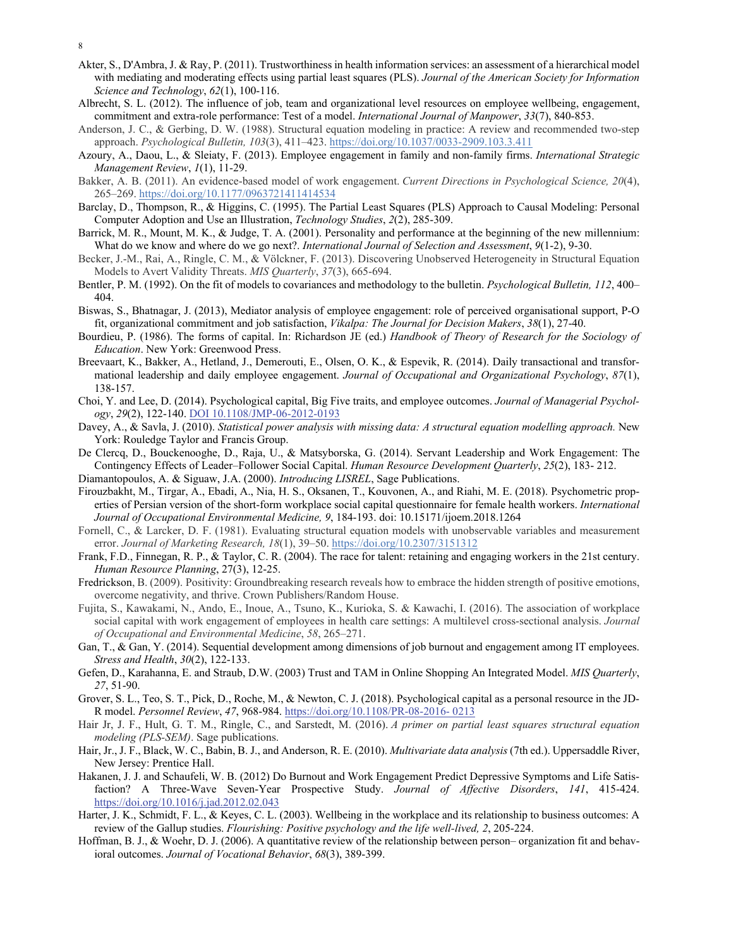- 8
- Akter, S., D'Ambra, J. & Ray, P. (2011). Trustworthiness in health information services: an assessment of a hierarchical model with mediating and moderating effects using partial least squares (PLS). *Journal of the American Society for Information Science and Technology*, *62*(1), 100-116.
- Albrecht, S. L. (2012). The influence of job, team and organizational level resources on employee wellbeing, engagement, commitment and extra-role performance: Test of a model. *International Journal of Manpower*, *33*(7), 840-853.
- Anderson, J. C., & Gerbing, D. W. (1988). Structural equation modeling in practice: A review and recommended two-step approach. *Psychological Bulletin, 103*(3), 411–423. https://doi.org/10.1037/0033-2909.103.3.411
- Azoury, A., Daou, L., & Sleiaty, F. (2013). Employee engagement in family and non-family firms. *International Strategic Management Review*, *1*(1), 11-29.
- Bakker, A. B. (2011). An evidence-based model of work engagement. *Current Directions in Psychological Science, 20*(4), 265–269. https://doi.org/10.1177/0963721411414534
- Barclay, D., Thompson, R., & Higgins, C. (1995). The Partial Least Squares (PLS) Approach to Causal Modeling: Personal Computer Adoption and Use an Illustration, *Technology Studies*, *2*(2), 285-309.
- Barrick, M. R., Mount, M. K., & Judge, T. A. (2001). Personality and performance at the beginning of the new millennium: What do we know and where do we go next?. *International Journal of Selection and Assessment*, *9*(1‐2), 9-30.
- Becker, J.-M., Rai, A., Ringle, C. M., & Völckner, F. (2013). Discovering Unobserved Heterogeneity in Structural Equation Models to Avert Validity Threats. *MIS Quarterly*, *37*(3), 665-694.
- Bentler, P. M. (1992). On the fit of models to covariances and methodology to the bulletin. *Psychological Bulletin, 112*, 400– 404.
- Biswas, S., Bhatnagar, J. (2013), Mediator analysis of employee engagement: role of perceived organisational support, P-O fit, organizational commitment and job satisfaction, *Vikalpa: The Journal for Decision Makers*, *38*(1), 27-40.
- Bourdieu, P. (1986). The forms of capital. In: Richardson JE (ed.) *Handbook of Theory of Research for the Sociology of Education*. New York: Greenwood Press.
- Breevaart, K., Bakker, A., Hetland, J., Demerouti, E., Olsen, O. K., & Espevik, R. (2014). Daily transactional and transformational leadership and daily employee engagement. *Journal of Occupational and Organizational Psychology*, *87*(1), 138-157.
- Choi, Y. and Lee, D. (2014). Psychological capital, Big Five traits, and employee outcomes. *Journal of Managerial Psychology*, *29*(2), 122-140. DOI 10.1108/JMP-06-2012-0193
- Davey, A., & Savla, J. (2010). *Statistical power analysis with missing data: A structural equation modelling approach.* New York: Rouledge Taylor and Francis Group.
- De Clercq, D., Bouckenooghe, D., Raja, U., & Matsyborska, G. (2014). Servant Leadership and Work Engagement: The Contingency Effects of Leader–Follower Social Capital. *Human Resource Development Quarterly*, *25*(2), 183- 212.
- Diamantopoulos, A. & Siguaw, J.A. (2000). *Introducing LISREL*, Sage Publications.
- Firouzbakht, M., Tirgar, A., Ebadi, A., Nia, H. S., Oksanen, T., Kouvonen, A., and Riahi, M. E. (2018). Psychometric properties of Persian version of the short-form workplace social capital questionnaire for female health workers. *International Journal of Occupational Environmental Medicine, 9*, 184-193. doi: 10.15171/ijoem.2018.1264
- Fornell, C., & Larcker, D. F. (1981). Evaluating structural equation models with unobservable variables and measurement error. *Journal of Marketing Research, 18*(1), 39–50. https://doi.org/10.2307/3151312
- Frank, F.D., Finnegan, R. P., & Taylor, C. R. (2004). The race for talent: retaining and engaging workers in the 21st century. *Human Resource Planning*, 27(3), 12-25.
- Fredrickson, B. (2009). Positivity: Groundbreaking research reveals how to embrace the hidden strength of positive emotions, overcome negativity, and thrive. Crown Publishers/Random House.
- Fujita, S., Kawakami, N., Ando, E., Inoue, A., Tsuno, K., Kurioka, S. & Kawachi, I. (2016). The association of workplace social capital with work engagement of employees in health care settings: A multilevel cross-sectional analysis. *Journal of Occupational and Environmental Medicine*, *58*, 265–271.
- Gan, T., & Gan, Y. (2014). Sequential development among dimensions of job burnout and engagement among IT employees. *Stress and Health*, *30*(2), 122-133.
- Gefen, D., Karahanna, E. and Straub, D.W. (2003) Trust and TAM in Online Shopping An Integrated Model. *MIS Quarterly*, *27*, 51-90.
- Grover, S. L., Teo, S. T., Pick, D., Roche, M., & Newton, C. J. (2018). Psychological capital as a personal resource in the JD-R model. *Personnel Review*, *47*, 968-984. https://doi.org/10.1108/PR-08-2016- 0213
- Hair Jr, J. F., Hult, G. T. M., Ringle, C., and Sarstedt, M. (2016). *A primer on partial least squares structural equation modeling (PLS-SEM)*. Sage publications.
- Hair, Jr., J. F., Black, W. C., Babin, B. J., and Anderson, R. E. (2010). *Multivariate data analysis* (7th ed.). Uppersaddle River, New Jersey: Prentice Hall.
- Hakanen, J. J. and Schaufeli, W. B. (2012) Do Burnout and Work Engagement Predict Depressive Symptoms and Life Satisfaction? A Three-Wave Seven-Year Prospective Study. *Journal of Affective Disorders*, *141*, 415-424. https://doi.org/10.1016/j.jad.2012.02.043
- Harter, J. K., Schmidt, F. L., & Keyes, C. L. (2003). Wellbeing in the workplace and its relationship to business outcomes: A review of the Gallup studies. *Flourishing: Positive psychology and the life well-lived, 2*, 205-224.
- Hoffman, B. J., & Woehr, D. J. (2006). A quantitative review of the relationship between person– organization fit and behavioral outcomes. *Journal of Vocational Behavior*, *68*(3), 389-399.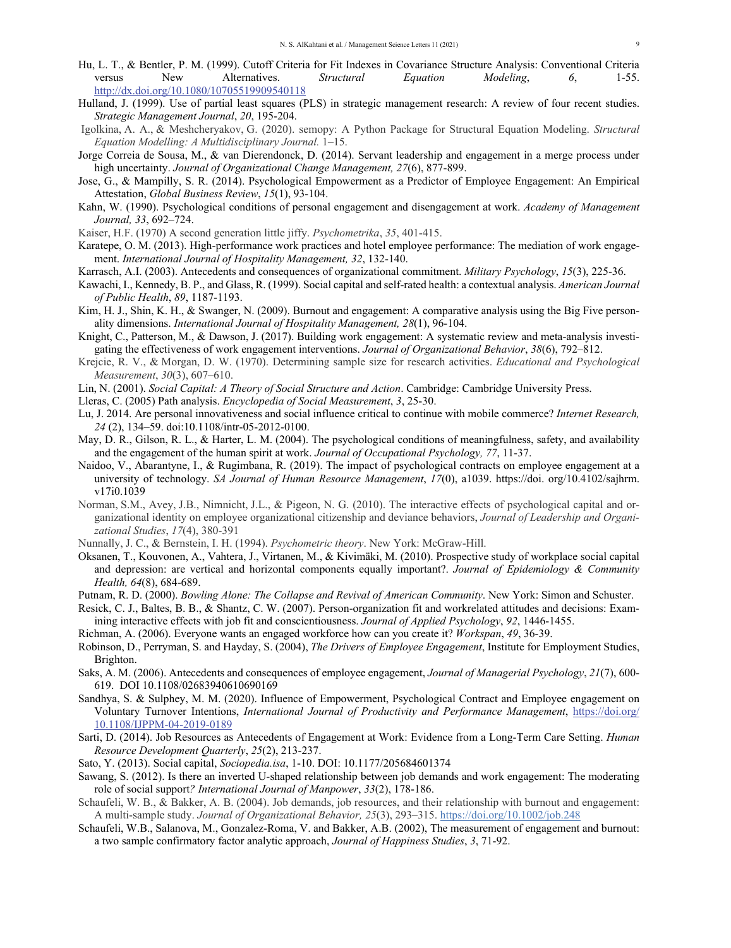- Hu, L. T., & Bentler, P. M. (1999). Cutoff Criteria for Fit Indexes in Covariance Structure Analysis: Conventional Criteria versus New Alternatives. *Structural Equation Modeling*, *6*, 1-55. http://dx.doi.org/10.1080/10705519909540118
- Hulland, J. (1999). Use of partial least squares (PLS) in strategic management research: A review of four recent studies. *Strategic Management Journal*, *20*, 195-204.
- Igolkina, A. A., & Meshcheryakov, G. (2020). semopy: A Python Package for Structural Equation Modeling. *Structural Equation Modelling: A Multidisciplinary Journal.* 1–15.
- Jorge Correia de Sousa, M., & van Dierendonck, D. (2014). Servant leadership and engagement in a merge process under high uncertainty. *Journal of Organizational Change Management, 27*(6), 877-899.
- Jose, G., & Mampilly, S. R. (2014). Psychological Empowerment as a Predictor of Employee Engagement: An Empirical Attestation, *Global Business Review*, *15*(1), 93-104.
- Kahn, W. (1990). Psychological conditions of personal engagement and disengagement at work. *Academy of Management Journal, 33*, 692–724.
- Kaiser, H.F. (1970) A second generation little jiffy. *Psychometrika*, *35*, 401-415.
- Karatepe, O. M. (2013). High-performance work practices and hotel employee performance: The mediation of work engagement. *International Journal of Hospitality Management, 32*, 132-140.
- Karrasch, A.I. (2003). Antecedents and consequences of organizational commitment. *Military Psychology*, *15*(3), 225-36.
- Kawachi, I., Kennedy, B. P., and Glass, R. (1999). Social capital and self-rated health: a contextual analysis. *American Journal of Public Health*, *89*, 1187-1193.
- Kim, H. J., Shin, K. H., & Swanger, N. (2009). Burnout and engagement: A comparative analysis using the Big Five personality dimensions. *International Journal of Hospitality Management, 28*(1), 96-104.
- Knight, C., Patterson, M., & Dawson, J. (2017). Building work engagement: A systematic review and meta-analysis investigating the effectiveness of work engagement interventions. *Journal of Organizational Behavior*, *38*(6), 792–812.
- Krejcie, R. V., & Morgan, D. W. (1970). Determining sample size for research activities. *Educational and Psychological Measurement*, *30*(3), 607–610.
- Lin, N. (2001). *Social Capital: A Theory of Social Structure and Action*. Cambridge: Cambridge University Press.
- Lleras, C. (2005) Path analysis. *Encyclopedia of Social Measurement*, *3*, 25-30.
- Lu, J. 2014. Are personal innovativeness and social influence critical to continue with mobile commerce? *Internet Research, 24* (2), 134–59. doi:10.1108/intr-05-2012-0100.
- May, D. R., Gilson, R. L., & Harter, L. M. (2004). The psychological conditions of meaningfulness, safety, and availability and the engagement of the human spirit at work. *Journal of Occupational Psychology, 77*, 11-37.
- Naidoo, V., Abarantyne, I., & Rugimbana, R. (2019). The impact of psychological contracts on employee engagement at a university of technology. *SA Journal of Human Resource Management*, *17*(0), a1039. https://doi. org/10.4102/sajhrm. v17i0.1039
- Norman, S.M., Avey, J.B., Nimnicht, J.L., & Pigeon, N. G. (2010). The interactive effects of psychological capital and organizational identity on employee organizational citizenship and deviance behaviors, *Journal of Leadership and Organizational Studies*, *17*(4), 380-391
- Nunnally, J. C., & Bernstein, I. H. (1994). *Psychometric theory*. New York: McGraw-Hill.
- Oksanen, T., Kouvonen, A., Vahtera, J., Virtanen, M., & Kivimäki, M. (2010). Prospective study of workplace social capital and depression: are vertical and horizontal components equally important?. *Journal of Epidemiology & Community Health, 64*(8), 684-689.
- Putnam, R. D. (2000). *Bowling Alone: The Collapse and Revival of American Community*. New York: Simon and Schuster.
- Resick, C. J., Baltes, B. B., & Shantz, C. W. (2007). Person-organization fit and workrelated attitudes and decisions: Examining interactive effects with job fit and conscientiousness. *Journal of Applied Psychology*, *92*, 1446-1455.
- Richman, A. (2006). Everyone wants an engaged workforce how can you create it? *Workspan*, *49*, 36-39.
- Robinson, D., Perryman, S. and Hayday, S. (2004), *The Drivers of Employee Engagement*, Institute for Employment Studies, Brighton.
- Saks, A. M. (2006). Antecedents and consequences of employee engagement, *Journal of Managerial Psychology*, *21*(7), 600- 619. DOI 10.1108/02683940610690169
- Sandhya, S. & Sulphey, M. M. (2020). Influence of Empowerment, Psychological Contract and Employee engagement on Voluntary Turnover Intentions, *International Journal of Productivity and Performance Management*, https://doi.org/ 10.1108/IJPPM-04-2019-0189
- Sarti, D. (2014). Job Resources as Antecedents of Engagement at Work: Evidence from a Long‐Term Care Setting. *Human Resource Development Quarterly*, *25*(2), 213-237.
- Sato, Y. (2013). Social capital, *Sociopedia.isa*, 1-10. DOI: 10.1177/205684601374
- Sawang, S. (2012). Is there an inverted U-shaped relationship between job demands and work engagement: The moderating role of social support*? International Journal of Manpower*, *33*(2), 178-186.
- Schaufeli, W. B., & Bakker, A. B. (2004). Job demands, job resources, and their relationship with burnout and engagement: A multi-sample study. *Journal of Organizational Behavior, 25*(3), 293–315. https://doi.org/10.1002/job.248
- Schaufeli, W.B., Salanova, M., Gonzalez-Roma, V. and Bakker, A.B. (2002), The measurement of engagement and burnout: a two sample confirmatory factor analytic approach, *Journal of Happiness Studies*, *3*, 71-92.